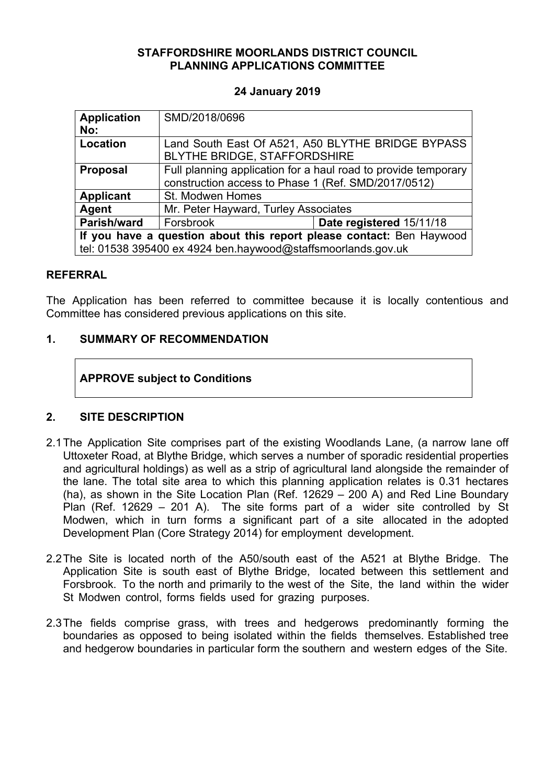### **STAFFORDSHIRE MOORLANDS DISTRICT COUNCIL PLANNING APPLICATIONS COMMITTEE**

### **24 January 2019**

| <b>Application</b><br>No:                                            | SMD/2018/0696                                                                                                         |                          |
|----------------------------------------------------------------------|-----------------------------------------------------------------------------------------------------------------------|--------------------------|
| Location                                                             | Land South East Of A521, A50 BLYTHE BRIDGE BYPASS<br>BLYTHE BRIDGE, STAFFORDSHIRE                                     |                          |
| <b>Proposal</b>                                                      | Full planning application for a haul road to provide temporary<br>construction access to Phase 1 (Ref. SMD/2017/0512) |                          |
| <b>Applicant</b>                                                     | St. Modwen Homes                                                                                                      |                          |
| Agent                                                                | Mr. Peter Hayward, Turley Associates                                                                                  |                          |
| Parish/ward                                                          | Forsbrook                                                                                                             | Date registered 15/11/18 |
| If you have a question about this report please contact: Ben Haywood |                                                                                                                       |                          |
| tel: 01538 395400 ex 4924 ben.haywood@staffsmoorlands.gov.uk         |                                                                                                                       |                          |

#### **REFERRAL**

The Application has been referred to committee because it is locally contentious and Committee has considered previous applications on this site.

### **1. SUMMARY OF RECOMMENDATION**

### **APPROVE subject to Conditions**

### **2. SITE DESCRIPTION**

- 2.1The Application Site comprises part of the existing Woodlands Lane, (a narrow lane off Uttoxeter Road, at Blythe Bridge, which serves a number of sporadic residential properties and agricultural holdings) as well as a strip of agricultural land alongside the remainder of the lane. The total site area to which this planning application relates is 0.31 hectares (ha), as shown in the Site Location Plan (Ref. 12629 – 200 A) and Red Line Boundary Plan (Ref. 12629 – 201 A). The site forms part of a wider site controlled by St Modwen, which in turn forms a significant part of a site allocated in the adopted Development Plan (Core Strategy 2014) for employment development.
- 2.2The Site is located north of the A50/south east of the A521 at Blythe Bridge. The Application Site is south east of Blythe Bridge, located between this settlement and Forsbrook. To the north and primarily to the west of the Site, the land within the wider St Modwen control, forms fields used for grazing purposes.
- 2.3The fields comprise grass, with trees and hedgerows predominantly forming the boundaries as opposed to being isolated within the fields themselves. Established tree and hedgerow boundaries in particular form the southern and western edges of the Site.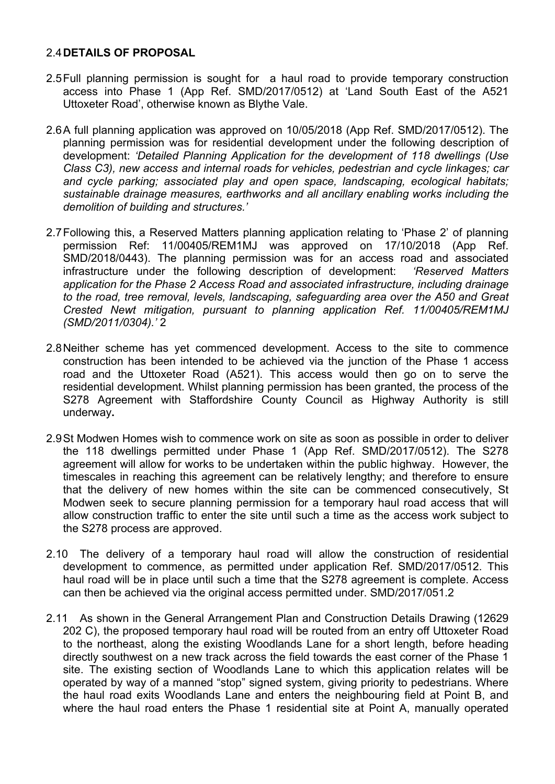#### 2.4**DETAILS OF PROPOSAL**

- 2.5Full planning permission is sought for a haul road to provide temporary construction access into Phase 1 (App Ref. SMD/2017/0512) at 'Land South East of the A521 Uttoxeter Road', otherwise known as Blythe Vale.
- 2.6A full planning application was approved on 10/05/2018 (App Ref. SMD/2017/0512). The planning permission was for residential development under the following description of development: *'Detailed Planning Application for the development of 118 dwellings (Use Class C3), new access and internal roads for vehicles, pedestrian and cycle linkages; car and cycle parking; associated play and open space, landscaping, ecological habitats; sustainable drainage measures, earthworks and all ancillary enabling works including the demolition of building and structures.'*
- 2.7Following this, a Reserved Matters planning application relating to 'Phase 2' of planning permission Ref: 11/00405/REM1MJ was approved on 17/10/2018 (App Ref. SMD/2018/0443). The planning permission was for an access road and associated infrastructure under the following description of development: *'Reserved Matters application for the Phase 2 Access Road and associated infrastructure, including drainage to the road, tree removal, levels, landscaping, safeguarding area over the A50 and Great Crested Newt mitigation, pursuant to planning application Ref. 11/00405/REM1MJ (SMD/2011/0304).'* 2
- 2.8Neither scheme has yet commenced development. Access to the site to commence construction has been intended to be achieved via the junction of the Phase 1 access road and the Uttoxeter Road (A521). This access would then go on to serve the residential development. Whilst planning permission has been granted, the process of the S278 Agreement with Staffordshire County Council as Highway Authority is still underway**.**
- 2.9St Modwen Homes wish to commence work on site as soon as possible in order to deliver the 118 dwellings permitted under Phase 1 (App Ref. SMD/2017/0512). The S278 agreement will allow for works to be undertaken within the public highway. However, the timescales in reaching this agreement can be relatively lengthy; and therefore to ensure that the delivery of new homes within the site can be commenced consecutively, St Modwen seek to secure planning permission for a temporary haul road access that will allow construction traffic to enter the site until such a time as the access work subject to the S278 process are approved.
- 2.10 The delivery of a temporary haul road will allow the construction of residential development to commence, as permitted under application Ref. SMD/2017/0512. This haul road will be in place until such a time that the S278 agreement is complete. Access can then be achieved via the original access permitted under. SMD/2017/051.2
- 2.11 As shown in the General Arrangement Plan and Construction Details Drawing (12629 202 C), the proposed temporary haul road will be routed from an entry off Uttoxeter Road to the northeast, along the existing Woodlands Lane for a short length, before heading directly southwest on a new track across the field towards the east corner of the Phase 1 site. The existing section of Woodlands Lane to which this application relates will be operated by way of a manned "stop" signed system, giving priority to pedestrians. Where the haul road exits Woodlands Lane and enters the neighbouring field at Point B, and where the haul road enters the Phase 1 residential site at Point A, manually operated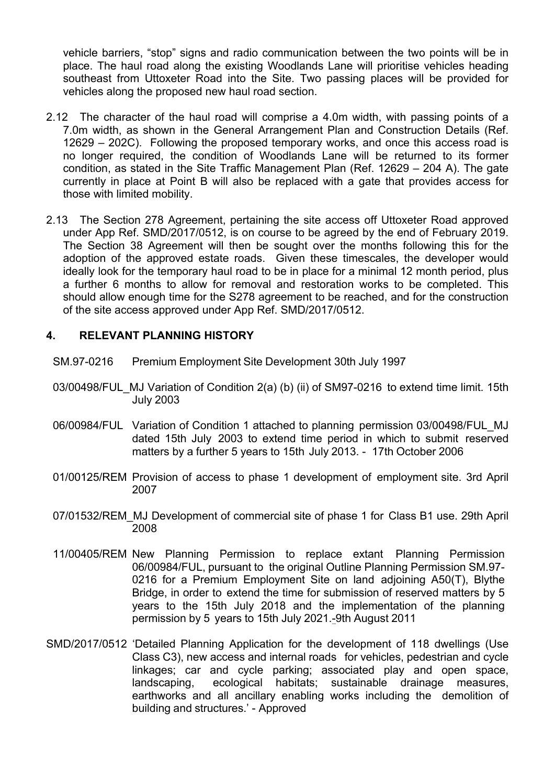vehicle barriers, "stop" signs and radio communication between the two points will be in place. The haul road along the existing Woodlands Lane will prioritise vehicles heading southeast from Uttoxeter Road into the Site. Two passing places will be provided for vehicles along the proposed new haul road section.

- 2.12 The character of the haul road will comprise a 4.0m width, with passing points of a 7.0m width, as shown in the General Arrangement Plan and Construction Details (Ref. 12629 – 202C). Following the proposed temporary works, and once this access road is no longer required, the condition of Woodlands Lane will be returned to its former condition, as stated in the Site Traffic Management Plan (Ref. 12629 – 204 A). The gate currently in place at Point B will also be replaced with a gate that provides access for those with limited mobility.
- 2.13 The Section 278 Agreement, pertaining the site access off Uttoxeter Road approved under App Ref. SMD/2017/0512, is on course to be agreed by the end of February 2019. The Section 38 Agreement will then be sought over the months following this for the adoption of the approved estate roads. Given these timescales, the developer would ideally look for the temporary haul road to be in place for a minimal 12 month period, plus a further 6 months to allow for removal and restoration works to be completed. This should allow enough time for the S278 agreement to be reached, and for the construction of the site access approved under App Ref. SMD/2017/0512.

### **4. RELEVANT PLANNING HISTORY**

- SM.97-0216 Premium Employment Site Development 30th July 1997
- 03/00498/FUL MJ Variation of Condition 2(a) (b) (ii) of SM97-0216 to extend time limit. 15th July 2003
- 06/00984/FUL Variation of Condition 1 attached to planning permission 03/00498/FUL\_MJ dated 15th July 2003 to extend time period in which to submit reserved matters by a further 5 years to 15th July 2013. - 17th October 2006
- 01/00125/REM Provision of access to phase 1 development of employment site. 3rd April 2007
- 07/01532/REM\_MJ Development of commercial site of phase 1 for Class B1 use. 29th April 2008
- 11/00405/REM New Planning Permission to replace extant Planning Permission 06/00984/FUL, pursuant to the original Outline Planning Permission SM.97- 0216 for a Premium Employment Site on land adjoining A50(T), Blythe Bridge, in order to extend the time for submission of reserved matters by 5 years to the 15th July 2018 and the implementation of the planning permission by 5 years to 15th July 2021.-9th August 2011
- SMD/2017/0512 'Detailed Planning Application for the development of 118 dwellings (Use Class C3), new access and internal roads for vehicles, pedestrian and cycle linkages; car and cycle parking; associated play and open space, landscaping, ecological habitats; sustainable drainage measures, earthworks and all ancillary enabling works including the demolition of building and structures.' - Approved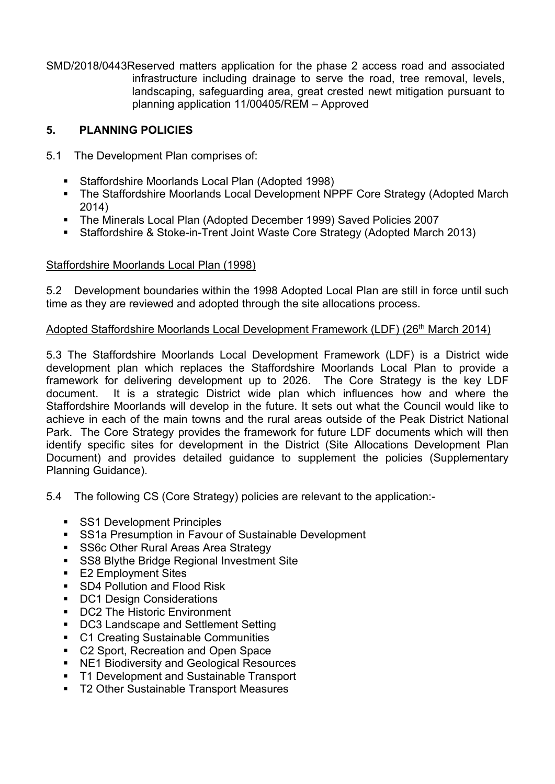SMD/2018/0443Reserved matters application for the phase 2 access road and associated infrastructure including drainage to serve the road, tree removal, levels, landscaping, safeguarding area, great crested newt mitigation pursuant to planning application 11/00405/REM – Approved

## **5. PLANNING POLICIES**

- 5.1 The Development Plan comprises of:
	- Staffordshire Moorlands Local Plan (Adopted 1998)
	- The Staffordshire Moorlands Local Development NPPF Core Strategy (Adopted March 2014)
	- The Minerals Local Plan (Adopted December 1999) Saved Policies 2007
	- Staffordshire & Stoke-in-Trent Joint Waste Core Strategy (Adopted March 2013)

## Staffordshire Moorlands Local Plan (1998)

5.2 Development boundaries within the 1998 Adopted Local Plan are still in force until such time as they are reviewed and adopted through the site allocations process.

### Adopted Staffordshire Moorlands Local Development Framework (LDF) (26th March 2014)

5.3 The Staffordshire Moorlands Local Development Framework (LDF) is a District wide development plan which replaces the Staffordshire Moorlands Local Plan to provide a framework for delivering development up to 2026. The Core Strategy is the key LDF document. It is a strategic District wide plan which influences how and where the Staffordshire Moorlands will develop in the future. It sets out what the Council would like to achieve in each of the main towns and the rural areas outside of the Peak District National Park. The Core Strategy provides the framework for future LDF documents which will then identify specific sites for development in the District (Site Allocations Development Plan Document) and provides detailed guidance to supplement the policies (Supplementary Planning Guidance).

5.4 The following CS (Core Strategy) policies are relevant to the application:-

- **SS1 Development Principles**
- SS1a Presumption in Favour of Sustainable Development
- **SS6c Other Rural Areas Area Strategy**
- **SS8 Blythe Bridge Regional Investment Site**
- E2 Employment Sites
- SD4 Pollution and Flood Risk
- DC1 Design Considerations
- DC2 The Historic Environment
- DC3 Landscape and Settlement Setting
- C1 Creating Sustainable Communities
- C2 Sport, Recreation and Open Space
- NE1 Biodiversity and Geological Resources
- T1 Development and Sustainable Transport
- T2 Other Sustainable Transport Measures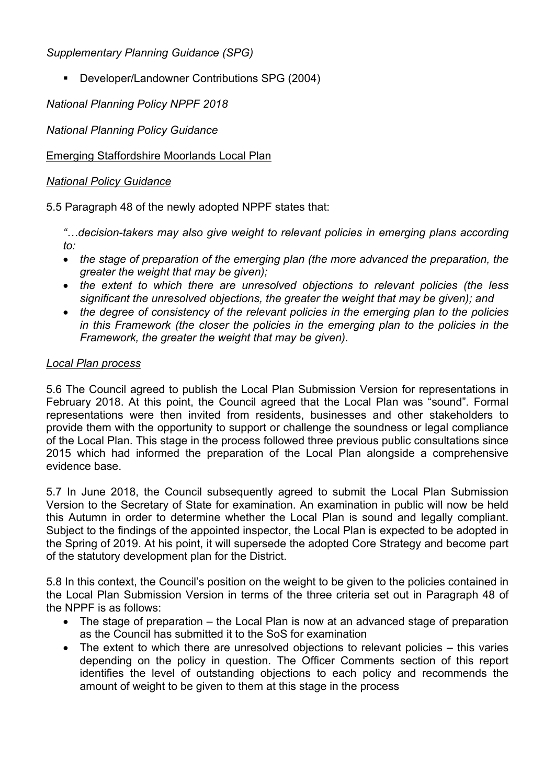*Supplementary Planning Guidance (SPG)*

Developer/Landowner Contributions SPG (2004)

*National Planning Policy NPPF 2018*

*National Planning Policy Guidance*

# Emerging Staffordshire Moorlands Local Plan

## *National Policy Guidance*

5.5 Paragraph 48 of the newly adopted NPPF states that:

*"…decision-takers may also give weight to relevant policies in emerging plans according to:*

- *the stage of preparation of the emerging plan (the more advanced the preparation, the greater the weight that may be given);*
- *the extent to which there are unresolved objections to relevant policies (the less significant the unresolved objections, the greater the weight that may be given); and*
- *the degree of consistency of the relevant policies in the emerging plan to the policies in this Framework (the closer the policies in the emerging plan to the policies in the Framework, the greater the weight that may be given).*

## *Local Plan process*

5.6 The Council agreed to publish the Local Plan Submission Version for representations in February 2018. At this point, the Council agreed that the Local Plan was "sound". Formal representations were then invited from residents, businesses and other stakeholders to provide them with the opportunity to support or challenge the soundness or legal compliance of the Local Plan. This stage in the process followed three previous public consultations since 2015 which had informed the preparation of the Local Plan alongside a comprehensive evidence base.

5.7 In June 2018, the Council subsequently agreed to submit the Local Plan Submission Version to the Secretary of State for examination. An examination in public will now be held this Autumn in order to determine whether the Local Plan is sound and legally compliant. Subject to the findings of the appointed inspector, the Local Plan is expected to be adopted in the Spring of 2019. At his point, it will supersede the adopted Core Strategy and become part of the statutory development plan for the District.

5.8 In this context, the Council's position on the weight to be given to the policies contained in the Local Plan Submission Version in terms of the three criteria set out in Paragraph 48 of the NPPF is as follows:

- The stage of preparation the Local Plan is now at an advanced stage of preparation as the Council has submitted it to the SoS for examination
- The extent to which there are unresolved objections to relevant policies this varies depending on the policy in question. The Officer Comments section of this report identifies the level of outstanding objections to each policy and recommends the amount of weight to be given to them at this stage in the process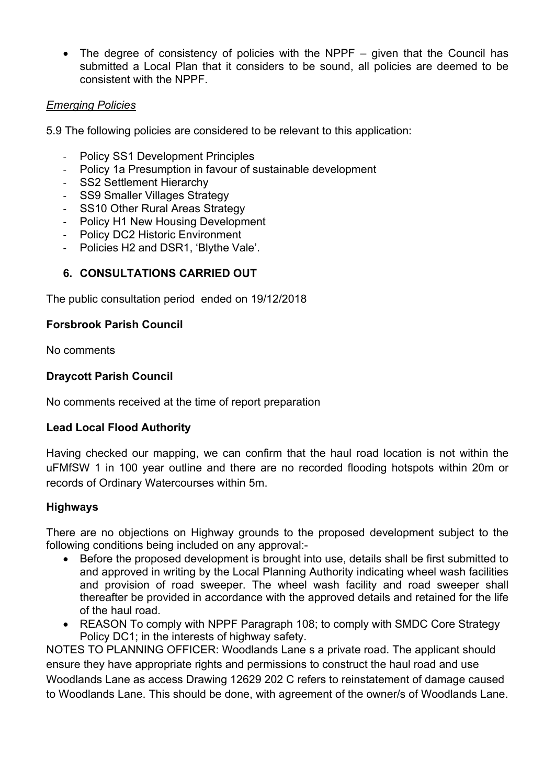• The degree of consistency of policies with the NPPF – given that the Council has submitted a Local Plan that it considers to be sound, all policies are deemed to be consistent with the NPPF.

## *Emerging Policies*

5.9 The following policies are considered to be relevant to this application:

- Policy SS1 Development Principles
- Policy 1a Presumption in favour of sustainable development
- SS2 Settlement Hierarchy
- SS9 Smaller Villages Strategy
- SS10 Other Rural Areas Strategy
- Policy H1 New Housing Development
- Policy DC2 Historic Environment
- Policies H2 and DSR1, 'Blythe Vale'.

## **6. CONSULTATIONS CARRIED OUT**

The public consultation period ended on 19/12/2018

### **Forsbrook Parish Council**

No comments

### **Draycott Parish Council**

No comments received at the time of report preparation

## **Lead Local Flood Authority**

Having checked our mapping, we can confirm that the haul road location is not within the uFMfSW 1 in 100 year outline and there are no recorded flooding hotspots within 20m or records of Ordinary Watercourses within 5m.

### **Highways**

There are no objections on Highway grounds to the proposed development subject to the following conditions being included on any approval:-

- Before the proposed development is brought into use, details shall be first submitted to and approved in writing by the Local Planning Authority indicating wheel wash facilities and provision of road sweeper. The wheel wash facility and road sweeper shall thereafter be provided in accordance with the approved details and retained for the life of the haul road.
- REASON To comply with NPPF Paragraph 108; to comply with SMDC Core Strategy Policy DC1; in the interests of highway safety.

NOTES TO PLANNING OFFICER: Woodlands Lane s a private road. The applicant should ensure they have appropriate rights and permissions to construct the haul road and use Woodlands Lane as access Drawing 12629 202 C refers to reinstatement of damage caused to Woodlands Lane. This should be done, with agreement of the owner/s of Woodlands Lane.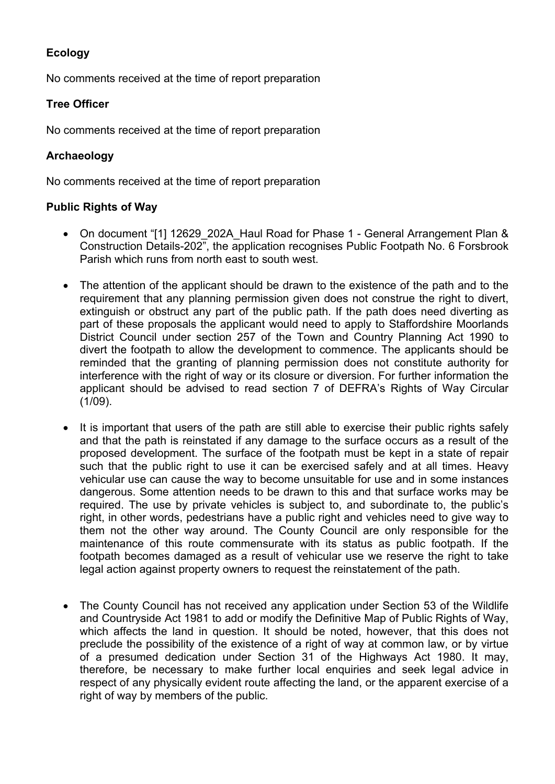# **Ecology**

No comments received at the time of report preparation

## **Tree Officer**

No comments received at the time of report preparation

## **Archaeology**

No comments received at the time of report preparation

### **Public Rights of Way**

- On document "[1] 12629 202A Haul Road for Phase 1 General Arrangement Plan & Construction Details-202", the application recognises Public Footpath No. 6 Forsbrook Parish which runs from north east to south west.
- The attention of the applicant should be drawn to the existence of the path and to the requirement that any planning permission given does not construe the right to divert, extinguish or obstruct any part of the public path. If the path does need diverting as part of these proposals the applicant would need to apply to Staffordshire Moorlands District Council under section 257 of the Town and Country Planning Act 1990 to divert the footpath to allow the development to commence. The applicants should be reminded that the granting of planning permission does not constitute authority for interference with the right of way or its closure or diversion. For further information the applicant should be advised to read section 7 of DEFRA's Rights of Way Circular (1/09).
- It is important that users of the path are still able to exercise their public rights safely and that the path is reinstated if any damage to the surface occurs as a result of the proposed development. The surface of the footpath must be kept in a state of repair such that the public right to use it can be exercised safely and at all times. Heavy vehicular use can cause the way to become unsuitable for use and in some instances dangerous. Some attention needs to be drawn to this and that surface works may be required. The use by private vehicles is subject to, and subordinate to, the public's right, in other words, pedestrians have a public right and vehicles need to give way to them not the other way around. The County Council are only responsible for the maintenance of this route commensurate with its status as public footpath. If the footpath becomes damaged as a result of vehicular use we reserve the right to take legal action against property owners to request the reinstatement of the path.
- The County Council has not received any application under Section 53 of the Wildlife and Countryside Act 1981 to add or modify the Definitive Map of Public Rights of Way, which affects the land in question. It should be noted, however, that this does not preclude the possibility of the existence of a right of way at common law, or by virtue of a presumed dedication under Section 31 of the Highways Act 1980. It may, therefore, be necessary to make further local enquiries and seek legal advice in respect of any physically evident route affecting the land, or the apparent exercise of a right of way by members of the public.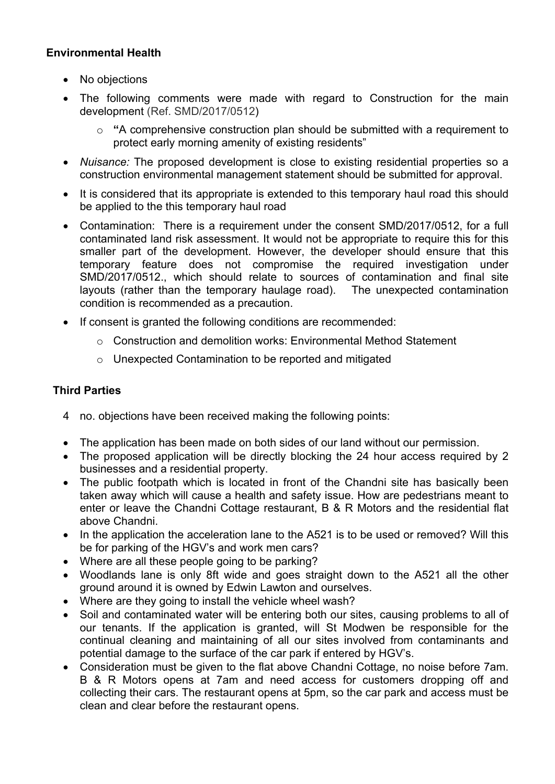## **Environmental Health**

- No objections
- The following comments were made with regard to Construction for the main development (Ref. SMD/2017/0512)
	- o **"**A comprehensive construction plan should be submitted with a requirement to protect early morning amenity of existing residents"
- *Nuisance:* The proposed development is close to existing residential properties so a construction environmental management statement should be submitted for approval.
- It is considered that its appropriate is extended to this temporary haul road this should be applied to the this temporary haul road
- Contamination: There is a requirement under the consent SMD/2017/0512, for a full contaminated land risk assessment. It would not be appropriate to require this for this smaller part of the development. However, the developer should ensure that this temporary feature does not compromise the required investigation under SMD/2017/0512., which should relate to sources of contamination and final site layouts (rather than the temporary haulage road). The unexpected contamination condition is recommended as a precaution.
- If consent is granted the following conditions are recommended:
	- $\circ$  Construction and demolition works: Environmental Method Statement
	- o Unexpected Contamination to be reported and mitigated

## **Third Parties**

- 4 no. objections have been received making the following points:
- The application has been made on both sides of our land without our permission.
- The proposed application will be directly blocking the 24 hour access required by 2 businesses and a residential property.
- The public footpath which is located in front of the Chandni site has basically been taken away which will cause a health and safety issue. How are pedestrians meant to enter or leave the Chandni Cottage restaurant, B & R Motors and the residential flat above Chandni.
- In the application the acceleration lane to the A521 is to be used or removed? Will this be for parking of the HGV's and work men cars?
- Where are all these people going to be parking?
- Woodlands lane is only 8ft wide and goes straight down to the A521 all the other ground around it is owned by Edwin Lawton and ourselves.
- Where are they going to install the vehicle wheel wash?
- Soil and contaminated water will be entering both our sites, causing problems to all of our tenants. If the application is granted, will St Modwen be responsible for the continual cleaning and maintaining of all our sites involved from contaminants and potential damage to the surface of the car park if entered by HGV's.
- Consideration must be given to the flat above Chandni Cottage, no noise before 7am. B & R Motors opens at 7am and need access for customers dropping off and collecting their cars. The restaurant opens at 5pm, so the car park and access must be clean and clear before the restaurant opens.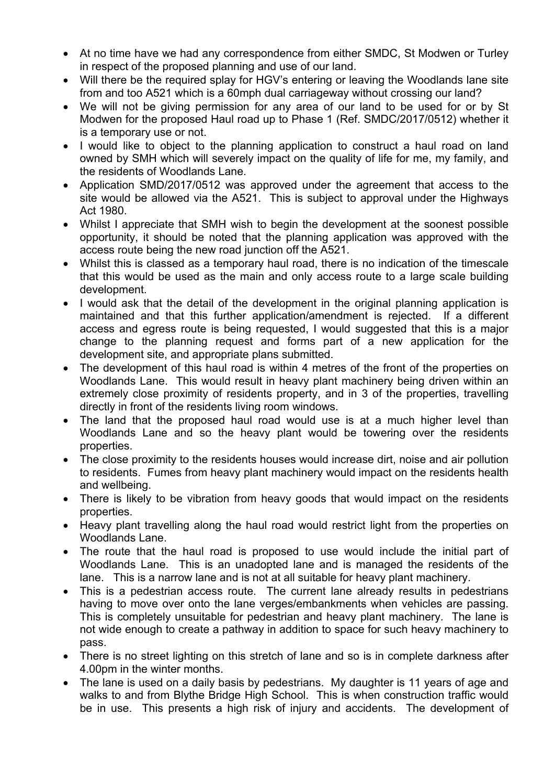- At no time have we had any correspondence from either SMDC, St Modwen or Turley in respect of the proposed planning and use of our land.
- Will there be the required splay for HGV's entering or leaving the Woodlands lane site from and too A521 which is a 60mph dual carriageway without crossing our land?
- We will not be giving permission for any area of our land to be used for or by St Modwen for the proposed Haul road up to Phase 1 (Ref. SMDC/2017/0512) whether it is a temporary use or not.
- I would like to object to the planning application to construct a haul road on land owned by SMH which will severely impact on the quality of life for me, my family, and the residents of Woodlands Lane.
- Application SMD/2017/0512 was approved under the agreement that access to the site would be allowed via the A521. This is subject to approval under the Highways Act 1980.
- Whilst I appreciate that SMH wish to begin the development at the soonest possible opportunity, it should be noted that the planning application was approved with the access route being the new road junction off the A521.
- Whilst this is classed as a temporary haul road, there is no indication of the timescale that this would be used as the main and only access route to a large scale building development.
- I would ask that the detail of the development in the original planning application is maintained and that this further application/amendment is rejected. If a different access and egress route is being requested, I would suggested that this is a major change to the planning request and forms part of a new application for the development site, and appropriate plans submitted.
- The development of this haul road is within 4 metres of the front of the properties on Woodlands Lane. This would result in heavy plant machinery being driven within an extremely close proximity of residents property, and in 3 of the properties, travelling directly in front of the residents living room windows.
- The land that the proposed haul road would use is at a much higher level than Woodlands Lane and so the heavy plant would be towering over the residents properties.
- The close proximity to the residents houses would increase dirt, noise and air pollution to residents. Fumes from heavy plant machinery would impact on the residents health and wellbeing.
- There is likely to be vibration from heavy goods that would impact on the residents properties.
- Heavy plant travelling along the haul road would restrict light from the properties on Woodlands Lane.
- The route that the haul road is proposed to use would include the initial part of Woodlands Lane. This is an unadopted lane and is managed the residents of the lane. This is a narrow lane and is not at all suitable for heavy plant machinery.
- This is a pedestrian access route. The current lane already results in pedestrians having to move over onto the lane verges/embankments when vehicles are passing. This is completely unsuitable for pedestrian and heavy plant machinery. The lane is not wide enough to create a pathway in addition to space for such heavy machinery to pass.
- There is no street lighting on this stretch of lane and so is in complete darkness after 4.00pm in the winter months.
- The lane is used on a daily basis by pedestrians. My daughter is 11 years of age and walks to and from Blythe Bridge High School. This is when construction traffic would be in use. This presents a high risk of injury and accidents. The development of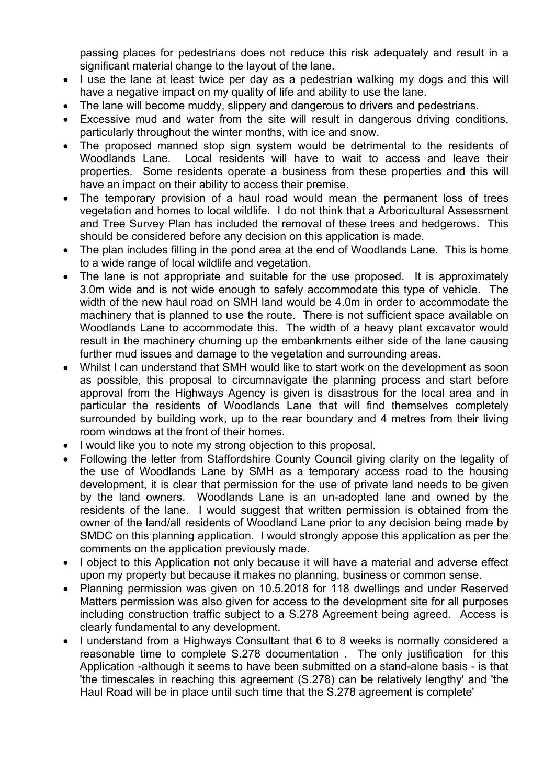passing places for pedestrians does not reduce this risk adequately and result in a significant material change to the layout of the lane.

- I use the lane at least twice per day as a pedestrian walking my dogs and this will have a negative impact on my quality of life and ability to use the lane.
- The lane will become muddy, slippery and dangerous to drivers and pedestrians.
- Excessive mud and water from the site will result in dangerous driving conditions, particularly throughout the winter months, with ice and snow.
- The proposed manned stop sign system would be detrimental to the residents of Woodlands Lane. Local residents will have to wait to access and leave their properties. Some residents operate a business from these properties and this will have an impact on their ability to access their premise.
- The temporary provision of a haul road would mean the permanent loss of trees vegetation and homes to local wildlife. I do not think that a Arboricultural Assessment and Tree Survey Plan has included the removal of these trees and hedgerows. This should be considered before any decision on this application is made.
- The plan includes filling in the pond area at the end of Woodlands Lane. This is home to a wide range of local wildlife and vegetation.
- The lane is not appropriate and suitable for the use proposed. It is approximately 3.0m wide and is not wide enough to safely accommodate this type of vehicle. The width of the new haul road on SMH land would be 4.0m in order to accommodate the machinery that is planned to use the route. There is not sufficient space available on Woodlands Lane to accommodate this. The width of a heavy plant excavator would result in the machinery churning up the embankments either side of the lane causing further mud issues and damage to the vegetation and surrounding areas.
- Whilst I can understand that SMH would like to start work on the development as soon as possible, this proposal to circumnavigate the planning process and start before approval from the Highways Agency is given is disastrous for the local area and in particular the residents of Woodlands Lane that will find themselves completely surrounded by building work, up to the rear boundary and 4 metres from their living room windows at the front of their homes.
- I would like you to note my strong objection to this proposal.
- Following the letter from Staffordshire County Council giving clarity on the legality of the use of Woodlands Lane by SMH as a temporary access road to the housing development, it is clear that permission for the use of private land needs to be given by the land owners. Woodlands Lane is an un-adopted lane and owned by the residents of the lane. I would suggest that written permission is obtained from the owner of the land/all residents of Woodland Lane prior to any decision being made by SMDC on this planning application. I would strongly appose this application as per the comments on the application previously made.
- I object to this Application not only because it will have a material and adverse effect upon my property but because it makes no planning, business or common sense.
- Planning permission was given on 10.5.2018 for 118 dwellings and under Reserved Matters permission was also given for access to the development site for all purposes including construction traffic subject to a S.278 Agreement being agreed. Access is clearly fundamental to any development.
- I understand from a Highways Consultant that 6 to 8 weeks is normally considered a reasonable time to complete S.278 documentation . The only justification for this Application -although it seems to have been submitted on a stand-alone basis - is that 'the timescales in reaching this agreement (S.278) can be relatively lengthy' and 'the Haul Road will be in place until such time that the S.278 agreement is complete'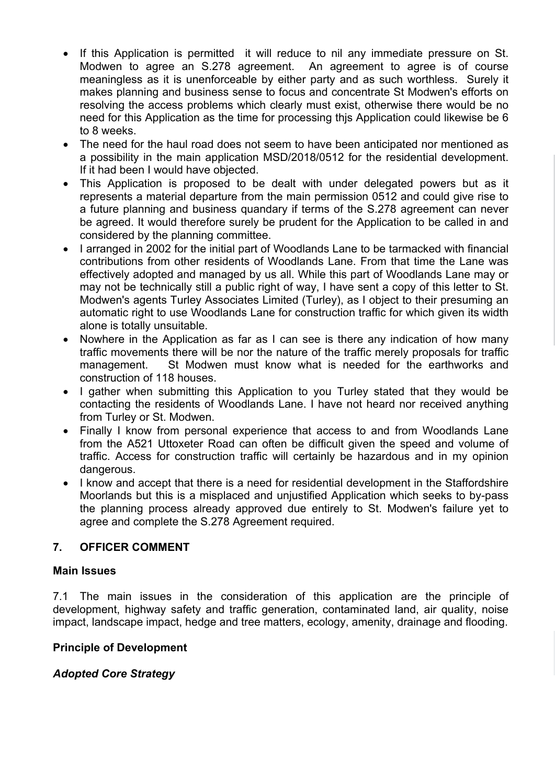- If this Application is permitted it will reduce to nil any immediate pressure on St. Modwen to agree an S.278 agreement. An agreement to agree is of course meaningless as it is unenforceable by either party and as such worthless. Surely it makes planning and business sense to focus and concentrate St Modwen's efforts on resolving the access problems which clearly must exist, otherwise there would be no need for this Application as the time for processing this Application could likewise be 6 to 8 weeks.
- The need for the haul road does not seem to have been anticipated nor mentioned as a possibility in the main application MSD/2018/0512 for the residential development. If it had been I would have objected.
- This Application is proposed to be dealt with under delegated powers but as it represents a material departure from the main permission 0512 and could give rise to a future planning and business quandary if terms of the S.278 agreement can never be agreed. It would therefore surely be prudent for the Application to be called in and considered by the planning committee.
- I arranged in 2002 for the initial part of Woodlands Lane to be tarmacked with financial contributions from other residents of Woodlands Lane. From that time the Lane was effectively adopted and managed by us all. While this part of Woodlands Lane may or may not be technically still a public right of way, I have sent a copy of this letter to St. Modwen's agents Turley Associates Limited (Turley), as I object to their presuming an automatic right to use Woodlands Lane for construction traffic for which given its width alone is totally unsuitable.
- Nowhere in the Application as far as I can see is there any indication of how many traffic movements there will be nor the nature of the traffic merely proposals for traffic management. St Modwen must know what is needed for the earthworks and construction of 118 houses.
- I gather when submitting this Application to you Turley stated that they would be contacting the residents of Woodlands Lane. I have not heard nor received anything from Turley or St. Modwen.
- Finally I know from personal experience that access to and from Woodlands Lane from the A521 Uttoxeter Road can often be difficult given the speed and volume of traffic. Access for construction traffic will certainly be hazardous and in my opinion dangerous.
- I know and accept that there is a need for residential development in the Staffordshire Moorlands but this is a misplaced and unjustified Application which seeks to by-pass the planning process already approved due entirely to St. Modwen's failure yet to agree and complete the S.278 Agreement required.

## **7. OFFICER COMMENT**

### **Main Issues**

7.1 The main issues in the consideration of this application are the principle of development, highway safety and traffic generation, contaminated land, air quality, noise impact, landscape impact, hedge and tree matters, ecology, amenity, drainage and flooding.

### **Principle of Development**

## *Adopted Core Strategy*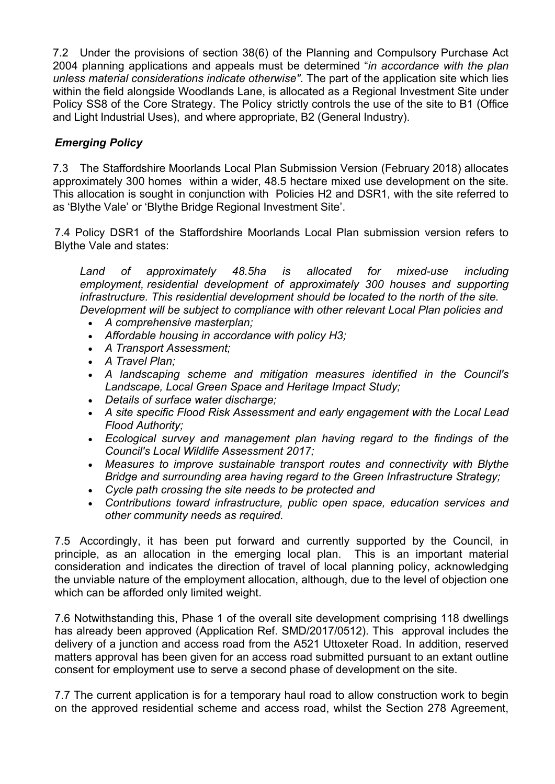7.2 Under the provisions of section 38(6) of the Planning and Compulsory Purchase Act 2004 planning applications and appeals must be determined "*in accordance with the plan unless material considerations indicate otherwise"*. The part of the application site which lies within the field alongside Woodlands Lane, is allocated as a Regional Investment Site under Policy SS8 of the Core Strategy. The Policy strictly controls the use of the site to B1 (Office and Light Industrial Uses), and where appropriate, B2 (General Industry).

# *Emerging Policy*

7.3 The Staffordshire Moorlands Local Plan Submission Version (February 2018) allocates approximately 300 homes within a wider, 48.5 hectare mixed use development on the site. This allocation is sought in conjunction with Policies H2 and DSR1, with the site referred to as 'Blythe Vale' or 'Blythe Bridge Regional Investment Site'.

7.4 Policy DSR1 of the Staffordshire Moorlands Local Plan submission version refers to Blythe Vale and states:

*Land of approximately 48.5ha is allocated for mixed-use including employment, residential development of approximately 300 houses and supporting infrastructure. This residential development should be located to the north of the site. Development will be subject to compliance with other relevant Local Plan policies and*

- *A comprehensive masterplan;*
- *Affordable housing in accordance with policy H3;*
- *A Transport Assessment;*
- *A Travel Plan;*
- *A landscaping scheme and mitigation measures identified in the Council's Landscape, Local Green Space and Heritage Impact Study;*
- *Details of surface water discharge;*
- *A site specific Flood Risk Assessment and early engagement with the Local Lead Flood Authority;*
- *Ecological survey and management plan having regard to the findings of the Council's Local Wildlife Assessment 2017;*
- *Measures to improve sustainable transport routes and connectivity with Blythe Bridge and surrounding area having regard to the Green Infrastructure Strategy;*
- *Cycle path crossing the site needs to be protected and*
- *Contributions toward infrastructure, public open space, education services and other community needs as required.*

7.5 Accordingly, it has been put forward and currently supported by the Council, in principle, as an allocation in the emerging local plan. This is an important material consideration and indicates the direction of travel of local planning policy, acknowledging the unviable nature of the employment allocation, although, due to the level of objection one which can be afforded only limited weight.

7.6 Notwithstanding this, Phase 1 of the overall site development comprising 118 dwellings has already been approved (Application Ref. SMD/2017/0512). This approval includes the delivery of a junction and access road from the A521 Uttoxeter Road. In addition, reserved matters approval has been given for an access road submitted pursuant to an extant outline consent for employment use to serve a second phase of development on the site.

7.7 The current application is for a temporary haul road to allow construction work to begin on the approved residential scheme and access road, whilst the Section 278 Agreement,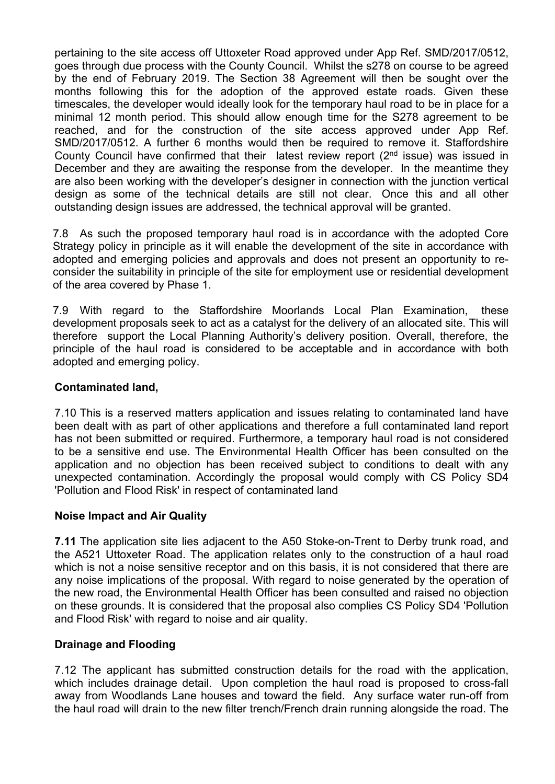pertaining to the site access off Uttoxeter Road approved under App Ref. SMD/2017/0512, goes through due process with the County Council. Whilst the s278 on course to be agreed by the end of February 2019. The Section 38 Agreement will then be sought over the months following this for the adoption of the approved estate roads. Given these timescales, the developer would ideally look for the temporary haul road to be in place for a minimal 12 month period. This should allow enough time for the S278 agreement to be reached, and for the construction of the site access approved under App Ref. SMD/2017/0512. A further 6 months would then be required to remove it. Staffordshire County Council have confirmed that their latest review report  $(2^{nd}$  issue) was issued in December and they are awaiting the response from the developer. In the meantime they are also been working with the developer's designer in connection with the junction vertical design as some of the technical details are still not clear. Once this and all other outstanding design issues are addressed, the technical approval will be granted.

7.8 As such the proposed temporary haul road is in accordance with the adopted Core Strategy policy in principle as it will enable the development of the site in accordance with adopted and emerging policies and approvals and does not present an opportunity to reconsider the suitability in principle of the site for employment use or residential development of the area covered by Phase 1.

7.9 With regard to the Staffordshire Moorlands Local Plan Examination, these development proposals seek to act as a catalyst for the delivery of an allocated site. This will therefore support the Local Planning Authority's delivery position. Overall, therefore, the principle of the haul road is considered to be acceptable and in accordance with both adopted and emerging policy.

### **Contaminated land,**

7.10 This is a reserved matters application and issues relating to contaminated land have been dealt with as part of other applications and therefore a full contaminated land report has not been submitted or required. Furthermore, a temporary haul road is not considered to be a sensitive end use. The Environmental Health Officer has been consulted on the application and no objection has been received subject to conditions to dealt with any unexpected contamination. Accordingly the proposal would comply with CS Policy SD4 'Pollution and Flood Risk' in respect of contaminated land

### **Noise Impact and Air Quality**

**7.11** The application site lies adjacent to the A50 Stoke-on-Trent to Derby trunk road, and the A521 Uttoxeter Road. The application relates only to the construction of a haul road which is not a noise sensitive receptor and on this basis, it is not considered that there are any noise implications of the proposal. With regard to noise generated by the operation of the new road, the Environmental Health Officer has been consulted and raised no objection on these grounds. It is considered that the proposal also complies CS Policy SD4 'Pollution and Flood Risk' with regard to noise and air quality.

### **Drainage and Flooding**

7.12 The applicant has submitted construction details for the road with the application, which includes drainage detail. Upon completion the haul road is proposed to cross-fall away from Woodlands Lane houses and toward the field. Any surface water run-off from the haul road will drain to the new filter trench/French drain running alongside the road. The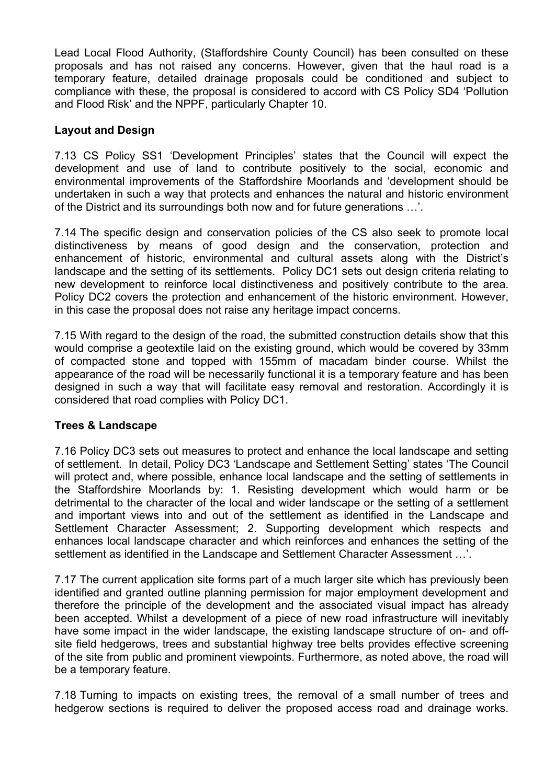Lead Local Flood Authority, (Staffordshire County Council) has been consulted on these proposals and has not raised any concerns. However, given that the haul road is a temporary feature, detailed drainage proposals could be conditioned and subject to compliance with these, the proposal is considered to accord with CS Policy SD4 'Pollution and Flood Risk' and the NPPF, particularly Chapter 10.

### **Layout and Design**

7.13 CS Policy SS1 'Development Principles' states that the Council will expect the development and use of land to contribute positively to the social, economic and environmental improvements of the Staffordshire Moorlands and 'development should be undertaken in such a way that protects and enhances the natural and historic environment of the District and its surroundings both now and for future generations …'.

7.14 The specific design and conservation policies of the CS also seek to promote local distinctiveness by means of good design and the conservation, protection and enhancement of historic, environmental and cultural assets along with the District's landscape and the setting of its settlements. Policy DC1 sets out design criteria relating to new development to reinforce local distinctiveness and positively contribute to the area. Policy DC2 covers the protection and enhancement of the historic environment. However, in this case the proposal does not raise any heritage impact concerns.

7.15 With regard to the design of the road, the submitted construction details show that this would comprise a geotextile laid on the existing ground, which would be covered by 33mm of compacted stone and topped with 155mm of macadam binder course. Whilst the appearance of the road will be necessarily functional it is a temporary feature and has been designed in such a way that will facilitate easy removal and restoration. Accordingly it is considered that road complies with Policy DC1.

## **Trees & Landscape**

7.16 Policy DC3 sets out measures to protect and enhance the local landscape and setting of settlement. In detail, Policy DC3 'Landscape and Settlement Setting' states 'The Council will protect and, where possible, enhance local landscape and the setting of settlements in the Staffordshire Moorlands by: 1. Resisting development which would harm or be detrimental to the character of the local and wider landscape or the setting of a settlement and important views into and out of the settlement as identified in the Landscape and Settlement Character Assessment; 2. Supporting development which respects and enhances local landscape character and which reinforces and enhances the setting of the settlement as identified in the Landscape and Settlement Character Assessment …'.

7.17 The current application site forms part of a much larger site which has previously been identified and granted outline planning permission for major employment development and therefore the principle of the development and the associated visual impact has already been accepted. Whilst a development of a piece of new road infrastructure will inevitably have some impact in the wider landscape, the existing landscape structure of on- and offsite field hedgerows, trees and substantial highway tree belts provides effective screening of the site from public and prominent viewpoints. Furthermore, as noted above, the road will be a temporary feature.

7.18 Turning to impacts on existing trees, the removal of a small number of trees and hedgerow sections is required to deliver the proposed access road and drainage works.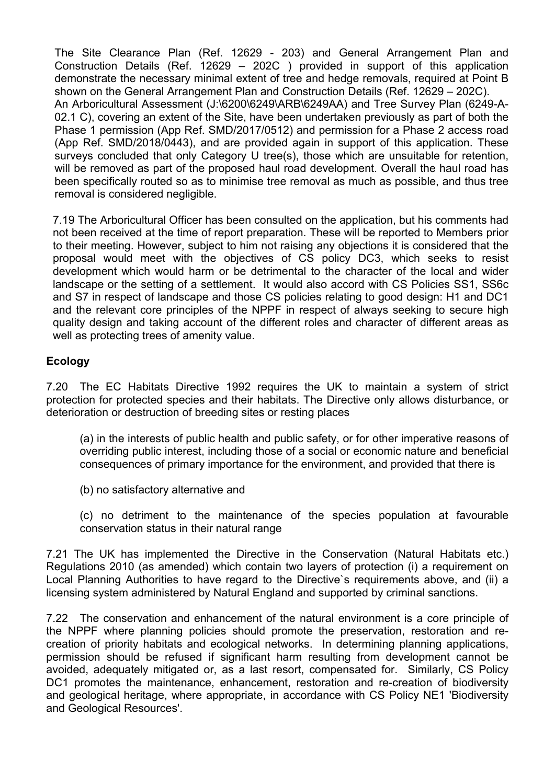The Site Clearance Plan (Ref. 12629 - 203) and General Arrangement Plan and Construction Details (Ref. 12629 – 202C ) provided in support of this application demonstrate the necessary minimal extent of tree and hedge removals, required at Point B shown on the General Arrangement Plan and Construction Details (Ref. 12629 – 202C). An Arboricultural Assessment (J:\6200\6249\ARB\6249AA) and Tree Survey Plan (6249-A-02.1 C), covering an extent of the Site, have been undertaken previously as part of both the Phase 1 permission (App Ref. SMD/2017/0512) and permission for a Phase 2 access road (App Ref. SMD/2018/0443), and are provided again in support of this application. These surveys concluded that only Category U tree(s), those which are unsuitable for retention, will be removed as part of the proposed haul road development. Overall the haul road has been specifically routed so as to minimise tree removal as much as possible, and thus tree removal is considered negligible.

7.19 The Arboricultural Officer has been consulted on the application, but his comments had not been received at the time of report preparation. These will be reported to Members prior to their meeting. However, subject to him not raising any objections it is considered that the proposal would meet with the objectives of CS policy DC3, which seeks to resist development which would harm or be detrimental to the character of the local and wider landscape or the setting of a settlement. It would also accord with CS Policies SS1, SS6c and S7 in respect of landscape and those CS policies relating to good design: H1 and DC1 and the relevant core principles of the NPPF in respect of always seeking to secure high quality design and taking account of the different roles and character of different areas as well as protecting trees of amenity value.

### **Ecology**

7.20 The EC Habitats Directive 1992 requires the UK to maintain a system of strict protection for protected species and their habitats. The Directive only allows disturbance, or deterioration or destruction of breeding sites or resting places

(a) in the interests of public health and public safety, or for other imperative reasons of overriding public interest, including those of a social or economic nature and beneficial consequences of primary importance for the environment, and provided that there is

(b) no satisfactory alternative and

(c) no detriment to the maintenance of the species population at favourable conservation status in their natural range

7.21 The UK has implemented the Directive in the Conservation (Natural Habitats etc.) Regulations 2010 (as amended) which contain two layers of protection (i) a requirement on Local Planning Authorities to have regard to the Directive`s requirements above, and (ii) a licensing system administered by Natural England and supported by criminal sanctions.

7.22 The conservation and enhancement of the natural environment is a core principle of the NPPF where planning policies should promote the preservation, restoration and recreation of priority habitats and ecological networks. In determining planning applications, permission should be refused if significant harm resulting from development cannot be avoided, adequately mitigated or, as a last resort, compensated for. Similarly, CS Policy DC1 promotes the maintenance, enhancement, restoration and re-creation of biodiversity and geological heritage, where appropriate, in accordance with CS Policy NE1 'Biodiversity and Geological Resources'.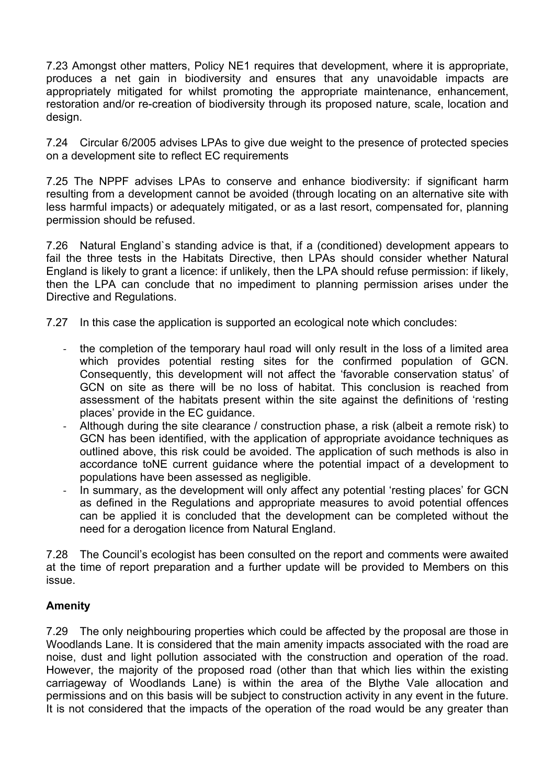7.23 Amongst other matters, Policy NE1 requires that development, where it is appropriate, produces a net gain in biodiversity and ensures that any unavoidable impacts are appropriately mitigated for whilst promoting the appropriate maintenance, enhancement, restoration and/or re-creation of biodiversity through its proposed nature, scale, location and design.

7.24 Circular 6/2005 advises LPAs to give due weight to the presence of protected species on a development site to reflect EC requirements

7.25 The NPPF advises LPAs to conserve and enhance biodiversity: if significant harm resulting from a development cannot be avoided (through locating on an alternative site with less harmful impacts) or adequately mitigated, or as a last resort, compensated for, planning permission should be refused.

7.26 Natural England`s standing advice is that, if a (conditioned) development appears to fail the three tests in the Habitats Directive, then LPAs should consider whether Natural England is likely to grant a licence: if unlikely, then the LPA should refuse permission: if likely, then the LPA can conclude that no impediment to planning permission arises under the Directive and Regulations.

- 7.27 In this case the application is supported an ecological note which concludes:
	- the completion of the temporary haul road will only result in the loss of a limited area which provides potential resting sites for the confirmed population of GCN. Consequently, this development will not affect the 'favorable conservation status' of GCN on site as there will be no loss of habitat. This conclusion is reached from assessment of the habitats present within the site against the definitions of 'resting places' provide in the EC guidance.
	- Although during the site clearance / construction phase, a risk (albeit a remote risk) to GCN has been identified, with the application of appropriate avoidance techniques as outlined above, this risk could be avoided. The application of such methods is also in accordance toNE current guidance where the potential impact of a development to populations have been assessed as negligible.
	- In summary, as the development will only affect any potential 'resting places' for GCN as defined in the Regulations and appropriate measures to avoid potential offences can be applied it is concluded that the development can be completed without the need for a derogation licence from Natural England.

7.28 The Council's ecologist has been consulted on the report and comments were awaited at the time of report preparation and a further update will be provided to Members on this issue.

## **Amenity**

7.29 The only neighbouring properties which could be affected by the proposal are those in Woodlands Lane. It is considered that the main amenity impacts associated with the road are noise, dust and light pollution associated with the construction and operation of the road. However, the majority of the proposed road (other than that which lies within the existing carriageway of Woodlands Lane) is within the area of the Blythe Vale allocation and permissions and on this basis will be subject to construction activity in any event in the future. It is not considered that the impacts of the operation of the road would be any greater than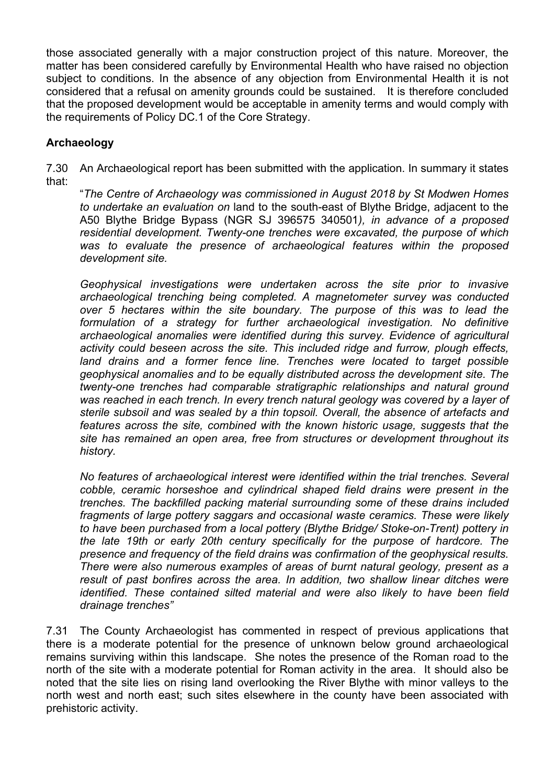those associated generally with a major construction project of this nature. Moreover, the matter has been considered carefully by Environmental Health who have raised no objection subject to conditions. In the absence of any objection from Environmental Health it is not considered that a refusal on amenity grounds could be sustained. It is therefore concluded that the proposed development would be acceptable in amenity terms and would comply with the requirements of Policy DC.1 of the Core Strategy.

# **Archaeology**

7.30 An Archaeological report has been submitted with the application. In summary it states that:

"*The Centre of Archaeology was commissioned in August 2018 by St Modwen Homes to undertake an evaluation on* land to the south-east of Blythe Bridge, adjacent to the A50 Blythe Bridge Bypass (NGR SJ 396575 340501*), in advance of a proposed residential development. Twenty-one trenches were excavated, the purpose of which was to evaluate the presence of archaeological features within the proposed development site.*

*Geophysical investigations were undertaken across the site prior to invasive archaeological trenching being completed. A magnetometer survey was conducted over 5 hectares within the site boundary. The purpose of this was to lead the formulation of a strategy for further archaeological investigation. No definitive archaeological anomalies were identified during this survey. Evidence of agricultural activity could beseen across the site. This included ridge and furrow, plough effects, land drains and a former fence line. Trenches were located to target possible geophysical anomalies and to be equally distributed across the development site. The twenty-one trenches had comparable stratigraphic relationships and natural ground was reached in each trench. In every trench natural geology was covered by a layer of sterile subsoil and was sealed by a thin topsoil. Overall, the absence of artefacts and features across the site, combined with the known historic usage, suggests that the site has remained an open area, free from structures or development throughout its history.*

*No features of archaeological interest were identified within the trial trenches. Several cobble, ceramic horseshoe and cylindrical shaped field drains were present in the trenches. The backfilled packing material surrounding some of these drains included fragments of large pottery saggars and occasional waste ceramics. These were likely to have been purchased from a local pottery (Blythe Bridge/ Stoke-on-Trent) pottery in the late 19th or early 20th century specifically for the purpose of hardcore. The presence and frequency of the field drains was confirmation of the geophysical results. There were also numerous examples of areas of burnt natural geology, present as a result of past bonfires across the area. In addition, two shallow linear ditches were identified. These contained silted material and were also likely to have been field drainage trenches"*

7.31 The County Archaeologist has commented in respect of previous applications that there is a moderate potential for the presence of unknown below ground archaeological remains surviving within this landscape. She notes the presence of the Roman road to the north of the site with a moderate potential for Roman activity in the area. It should also be noted that the site lies on rising land overlooking the River Blythe with minor valleys to the north west and north east; such sites elsewhere in the county have been associated with prehistoric activity.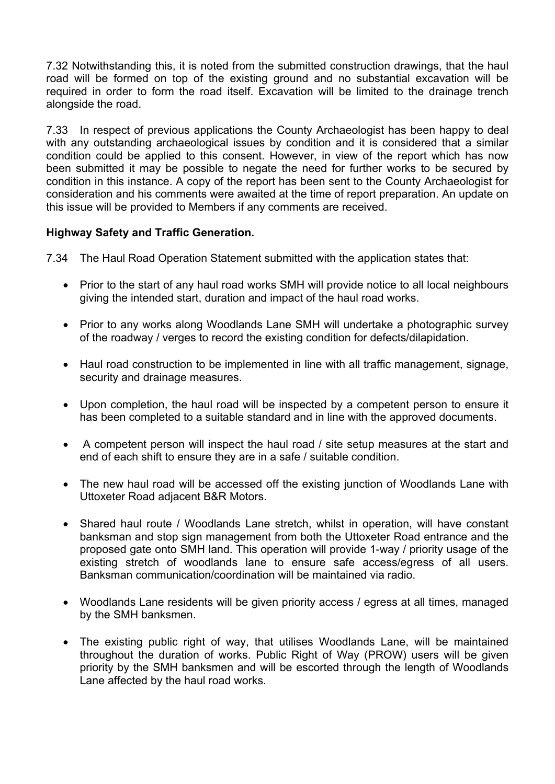7.32 Notwithstanding this, it is noted from the submitted construction drawings, that the haul road will be formed on top of the existing ground and no substantial excavation will be required in order to form the road itself. Excavation will be limited to the drainage trench alongside the road.

7.33 In respect of previous applications the County Archaeologist has been happy to deal with any outstanding archaeological issues by condition and it is considered that a similar condition could be applied to this consent. However, in view of the report which has now been submitted it may be possible to negate the need for further works to be secured by condition in this instance. A copy of the report has been sent to the County Archaeologist for consideration and his comments were awaited at the time of report preparation. An update on this issue will be provided to Members if any comments are received.

## **Highway Safety and Traffic Generation.**

7.34 The Haul Road Operation Statement submitted with the application states that:

- Prior to the start of any haul road works SMH will provide notice to all local neighbours giving the intended start, duration and impact of the haul road works.
- Prior to any works along Woodlands Lane SMH will undertake a photographic survey of the roadway / verges to record the existing condition for defects/dilapidation.
- Haul road construction to be implemented in line with all traffic management, signage, security and drainage measures.
- Upon completion, the haul road will be inspected by a competent person to ensure it has been completed to a suitable standard and in line with the approved documents.
- A competent person will inspect the haul road / site setup measures at the start and end of each shift to ensure they are in a safe / suitable condition.
- The new haul road will be accessed off the existing junction of Woodlands Lane with Uttoxeter Road adjacent B&R Motors.
- Shared haul route / Woodlands Lane stretch, whilst in operation, will have constant banksman and stop sign management from both the Uttoxeter Road entrance and the proposed gate onto SMH land. This operation will provide 1-way / priority usage of the existing stretch of woodlands lane to ensure safe access/egress of all users. Banksman communication/coordination will be maintained via radio.
- Woodlands Lane residents will be given priority access / egress at all times, managed by the SMH banksmen.
- The existing public right of way, that utilises Woodlands Lane, will be maintained throughout the duration of works. Public Right of Way (PROW) users will be given priority by the SMH banksmen and will be escorted through the length of Woodlands Lane affected by the haul road works.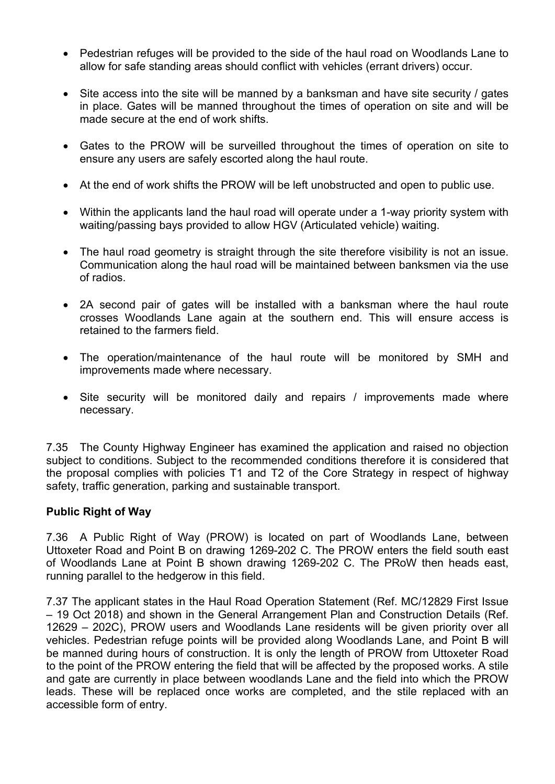- Pedestrian refuges will be provided to the side of the haul road on Woodlands Lane to allow for safe standing areas should conflict with vehicles (errant drivers) occur.
- Site access into the site will be manned by a banksman and have site security / gates in place. Gates will be manned throughout the times of operation on site and will be made secure at the end of work shifts.
- Gates to the PROW will be surveilled throughout the times of operation on site to ensure any users are safely escorted along the haul route.
- At the end of work shifts the PROW will be left unobstructed and open to public use.
- Within the applicants land the haul road will operate under a 1-way priority system with waiting/passing bays provided to allow HGV (Articulated vehicle) waiting.
- The haul road geometry is straight through the site therefore visibility is not an issue. Communication along the haul road will be maintained between banksmen via the use of radios.
- 2A second pair of gates will be installed with a banksman where the haul route crosses Woodlands Lane again at the southern end. This will ensure access is retained to the farmers field.
- The operation/maintenance of the haul route will be monitored by SMH and improvements made where necessary.
- Site security will be monitored daily and repairs / improvements made where necessary.

7.35 The County Highway Engineer has examined the application and raised no objection subject to conditions. Subject to the recommended conditions therefore it is considered that the proposal complies with policies T1 and T2 of the Core Strategy in respect of highway safety, traffic generation, parking and sustainable transport.

### **Public Right of Way**

7.36 A Public Right of Way (PROW) is located on part of Woodlands Lane, between Uttoxeter Road and Point B on drawing 1269-202 C. The PROW enters the field south east of Woodlands Lane at Point B shown drawing 1269-202 C. The PRoW then heads east, running parallel to the hedgerow in this field.

7.37 The applicant states in the Haul Road Operation Statement (Ref. MC/12829 First Issue – 19 Oct 2018) and shown in the General Arrangement Plan and Construction Details (Ref. 12629 – 202C), PROW users and Woodlands Lane residents will be given priority over all vehicles. Pedestrian refuge points will be provided along Woodlands Lane, and Point B will be manned during hours of construction. It is only the length of PROW from Uttoxeter Road to the point of the PROW entering the field that will be affected by the proposed works. A stile and gate are currently in place between woodlands Lane and the field into which the PROW leads. These will be replaced once works are completed, and the stile replaced with an accessible form of entry.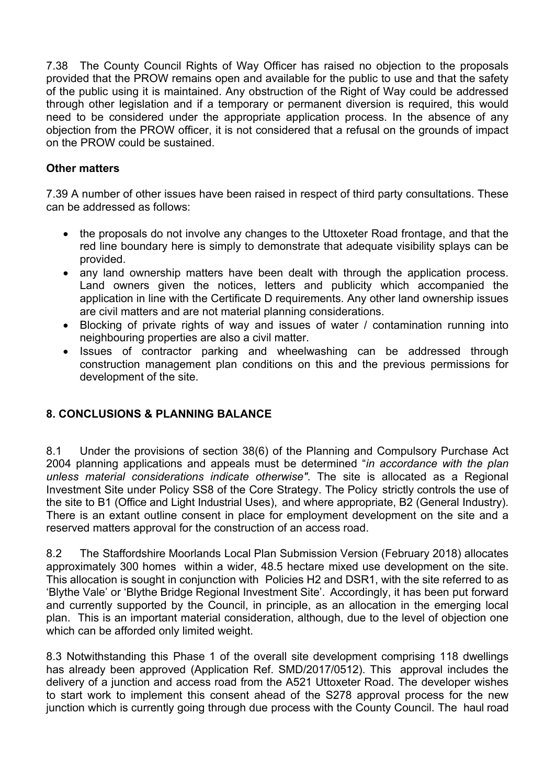7.38 The County Council Rights of Way Officer has raised no objection to the proposals provided that the PROW remains open and available for the public to use and that the safety of the public using it is maintained. Any obstruction of the Right of Way could be addressed through other legislation and if a temporary or permanent diversion is required, this would need to be considered under the appropriate application process. In the absence of any objection from the PROW officer, it is not considered that a refusal on the grounds of impact on the PROW could be sustained.

### **Other matters**

7.39 A number of other issues have been raised in respect of third party consultations. These can be addressed as follows:

- the proposals do not involve any changes to the Uttoxeter Road frontage, and that the red line boundary here is simply to demonstrate that adequate visibility splays can be provided.
- any land ownership matters have been dealt with through the application process. Land owners given the notices, letters and publicity which accompanied the application in line with the Certificate D requirements. Any other land ownership issues are civil matters and are not material planning considerations.
- Blocking of private rights of way and issues of water / contamination running into neighbouring properties are also a civil matter.
- Issues of contractor parking and wheelwashing can be addressed through construction management plan conditions on this and the previous permissions for development of the site.

# **8. CONCLUSIONS & PLANNING BALANCE**

8.1 Under the provisions of section 38(6) of the Planning and Compulsory Purchase Act 2004 planning applications and appeals must be determined "*in accordance with the plan unless material considerations indicate otherwise"*. The site is allocated as a Regional Investment Site under Policy SS8 of the Core Strategy. The Policy strictly controls the use of the site to B1 (Office and Light Industrial Uses), and where appropriate, B2 (General Industry). There is an extant outline consent in place for employment development on the site and a reserved matters approval for the construction of an access road.

8.2 The Staffordshire Moorlands Local Plan Submission Version (February 2018) allocates approximately 300 homes within a wider, 48.5 hectare mixed use development on the site. This allocation is sought in conjunction with Policies H2 and DSR1, with the site referred to as 'Blythe Vale' or 'Blythe Bridge Regional Investment Site'. Accordingly, it has been put forward and currently supported by the Council, in principle, as an allocation in the emerging local plan. This is an important material consideration, although, due to the level of objection one which can be afforded only limited weight.

8.3 Notwithstanding this Phase 1 of the overall site development comprising 118 dwellings has already been approved (Application Ref. SMD/2017/0512). This approval includes the delivery of a junction and access road from the A521 Uttoxeter Road. The developer wishes to start work to implement this consent ahead of the S278 approval process for the new junction which is currently going through due process with the County Council. The haul road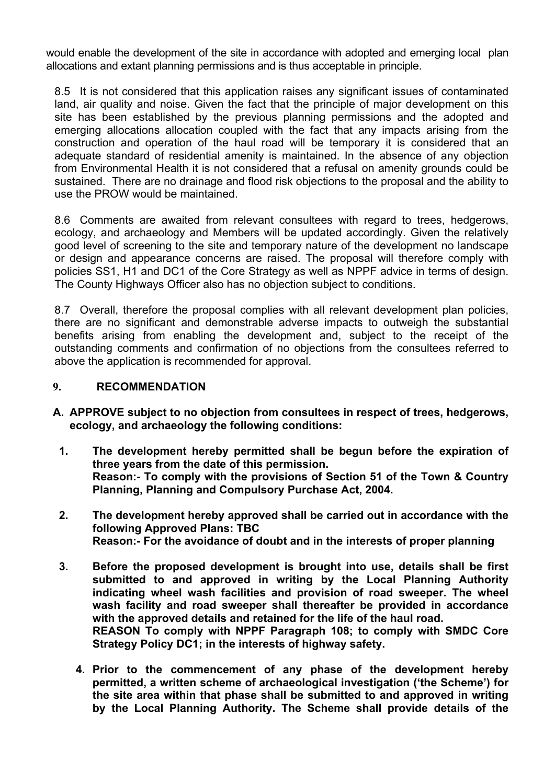would enable the development of the site in accordance with adopted and emerging local plan allocations and extant planning permissions and is thus acceptable in principle.

8.5 It is not considered that this application raises any significant issues of contaminated land, air quality and noise. Given the fact that the principle of major development on this site has been established by the previous planning permissions and the adopted and emerging allocations allocation coupled with the fact that any impacts arising from the construction and operation of the haul road will be temporary it is considered that an adequate standard of residential amenity is maintained. In the absence of any objection from Environmental Health it is not considered that a refusal on amenity grounds could be sustained. There are no drainage and flood risk objections to the proposal and the ability to use the PROW would be maintained.

8.6 Comments are awaited from relevant consultees with regard to trees, hedgerows, ecology, and archaeology and Members will be updated accordingly. Given the relatively good level of screening to the site and temporary nature of the development no landscape or design and appearance concerns are raised. The proposal will therefore comply with policies SS1, H1 and DC1 of the Core Strategy as well as NPPF advice in terms of design. The County Highways Officer also has no objection subject to conditions.

8.7 Overall, therefore the proposal complies with all relevant development plan policies, there are no significant and demonstrable adverse impacts to outweigh the substantial benefits arising from enabling the development and, subject to the receipt of the outstanding comments and confirmation of no objections from the consultees referred to above the application is recommended for approval.

### **9. RECOMMENDATION**

- **A. APPROVE subject to no objection from consultees in respect of trees, hedgerows, ecology, and archaeology the following conditions:**
	- **1. The development hereby permitted shall be begun before the expiration of three years from the date of this permission. Reason:- To comply with the provisions of Section 51 of the Town & Country Planning, Planning and Compulsory Purchase Act, 2004.**
	- **2. The development hereby approved shall be carried out in accordance with the following Approved Plans: TBC Reason:- For the avoidance of doubt and in the interests of proper planning**
	- **3. Before the proposed development is brought into use, details shall be first submitted to and approved in writing by the Local Planning Authority indicating wheel wash facilities and provision of road sweeper. The wheel wash facility and road sweeper shall thereafter be provided in accordance with the approved details and retained for the life of the haul road. REASON To comply with NPPF Paragraph 108; to comply with SMDC Core**

**Strategy Policy DC1; in the interests of highway safety.**

**4. Prior to the commencement of any phase of the development hereby permitted, a written scheme of archaeological investigation ('the Scheme') for the site area within that phase shall be submitted to and approved in writing by the Local Planning Authority. The Scheme shall provide details of the**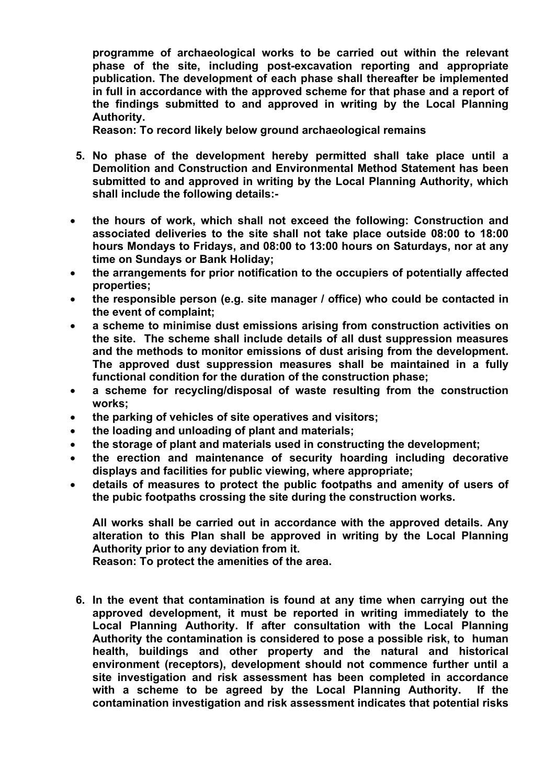**programme of archaeological works to be carried out within the relevant phase of the site, including post-excavation reporting and appropriate publication. The development of each phase shall thereafter be implemented in full in accordance with the approved scheme for that phase and a report of the findings submitted to and approved in writing by the Local Planning Authority.**

**Reason: To record likely below ground archaeological remains**

- **5. No phase of the development hereby permitted shall take place until a Demolition and Construction and Environmental Method Statement has been submitted to and approved in writing by the Local Planning Authority, which shall include the following details:-**
- **the hours of work, which shall not exceed the following: Construction and associated deliveries to the site shall not take place outside 08:00 to 18:00 hours Mondays to Fridays, and 08:00 to 13:00 hours on Saturdays, nor at any time on Sundays or Bank Holiday;**
- **the arrangements for prior notification to the occupiers of potentially affected properties;**
- **the responsible person (e.g. site manager / office) who could be contacted in the event of complaint;**
- **a scheme to minimise dust emissions arising from construction activities on the site. The scheme shall include details of all dust suppression measures and the methods to monitor emissions of dust arising from the development. The approved dust suppression measures shall be maintained in a fully functional condition for the duration of the construction phase;**
- **a scheme for recycling/disposal of waste resulting from the construction works;**
- **the parking of vehicles of site operatives and visitors;**
- **the loading and unloading of plant and materials;**
- **the storage of plant and materials used in constructing the development;**
- **the erection and maintenance of security hoarding including decorative displays and facilities for public viewing, where appropriate;**
- **details of measures to protect the public footpaths and amenity of users of the pubic footpaths crossing the site during the construction works.**

**All works shall be carried out in accordance with the approved details. Any alteration to this Plan shall be approved in writing by the Local Planning Authority prior to any deviation from it.**

**Reason: To protect the amenities of the area.**

**6. In the event that contamination is found at any time when carrying out the approved development, it must be reported in writing immediately to the Local Planning Authority. If after consultation with the Local Planning Authority the contamination is considered to pose a possible risk, to human health, buildings and other property and the natural and historical environment (receptors), development should not commence further until a site investigation and risk assessment has been completed in accordance with a scheme to be agreed by the Local Planning Authority. If the contamination investigation and risk assessment indicates that potential risks**